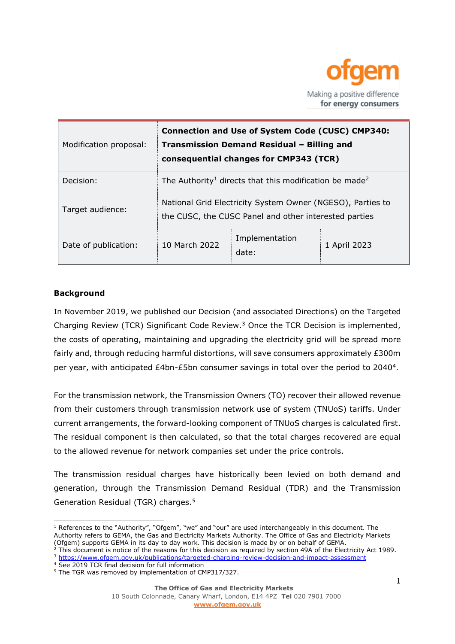

| Modification proposal: | <b>Connection and Use of System Code (CUSC) CMP340:</b><br>Transmission Demand Residual - Billing and<br>consequential changes for CMP343 (TCR) |                         |              |
|------------------------|-------------------------------------------------------------------------------------------------------------------------------------------------|-------------------------|--------------|
| Decision:              | The Authority <sup>1</sup> directs that this modification be made <sup>2</sup>                                                                  |                         |              |
| Target audience:       | National Grid Electricity System Owner (NGESO), Parties to<br>the CUSC, the CUSC Panel and other interested parties                             |                         |              |
| Date of publication:   | 10 March 2022                                                                                                                                   | Implementation<br>date: | 1 April 2023 |

### **Background**

In November 2019, we published our Decision (and associated Directions) on the Targeted Charging Review (TCR) Significant Code Review.<sup>3</sup> Once the TCR Decision is implemented, the costs of operating, maintaining and upgrading the electricity grid will be spread more fairly and, through reducing harmful distortions, will save consumers approximately £300m per year, with anticipated £4bn-£5bn consumer savings in total over the period to 2040<sup>4</sup>.

For the transmission network, the Transmission Owners (TO) recover their allowed revenue from their customers through transmission network use of system (TNUoS) tariffs. Under current arrangements, the forward-looking component of TNUoS charges is calculated first. The residual component is then calculated, so that the total charges recovered are equal to the allowed revenue for network companies set under the price controls.

The transmission residual charges have historically been levied on both demand and generation, through the Transmission Demand Residual (TDR) and the Transmission Generation Residual (TGR) charges.<sup>5</sup>

<sup>&</sup>lt;sup>1</sup> References to the "Authority", "Ofgem", "we" and "our" are used interchangeably in this document. The Authority refers to GEMA, the Gas and Electricity Markets Authority. The Office of Gas and Electricity Markets (Ofgem) supports GEMA in its day to day work. This decision is made by or on behalf of GEMA.

<sup>2</sup> This document is notice of the reasons for this decision as required by section 49A of the Electricity Act 1989.

<sup>3</sup> <https://www.ofgem.gov.uk/publications/targeted-charging-review-decision-and-impact-assessment> <sup>4</sup> See 2019 TCR final decision for full information

<sup>&</sup>lt;sup>5</sup> The TGR was removed by implementation of CMP317/327.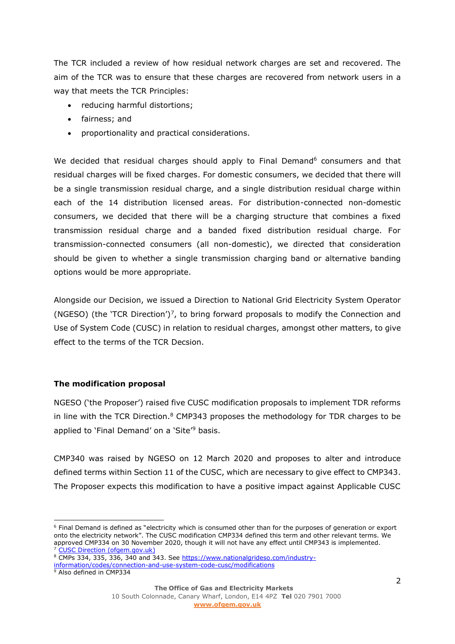The TCR included a review of how residual network charges are set and recovered. The aim of the TCR was to ensure that these charges are recovered from network users in a way that meets the TCR Principles:

- reducing harmful distortions;
- fairness; and
- proportionality and practical considerations.

We decided that residual charges should apply to Final Demand<sup>6</sup> consumers and that residual charges will be fixed charges. For domestic consumers, we decided that there will be a single transmission residual charge, and a single distribution residual charge within each of the 14 distribution licensed areas. For distribution-connected non-domestic consumers, we decided that there will be a charging structure that combines a fixed transmission residual charge and a banded fixed distribution residual charge. For transmission-connected consumers (all non-domestic), we directed that consideration should be given to whether a single transmission charging band or alternative banding options would be more appropriate.

Alongside our Decision, we issued a Direction to National Grid Electricity System Operator (NGESO) (the 'TCR Direction')<sup>7</sup>, to bring forward proposals to modify the Connection and Use of System Code (CUSC) in relation to residual charges, amongst other matters, to give effect to the terms of the TCR Decsion.

## **The modification proposal**

NGESO ('the Proposer') raised five CUSC modification proposals to implement TDR reforms in line with the TCR Direction.<sup>8</sup> CMP343 proposes the methodology for TDR charges to be applied to 'Final Demand' on a 'Site'<sup>9</sup> basis.

CMP340 was raised by NGESO on 12 March 2020 and proposes to alter and introduce defined terms within Section 11 of the CUSC, which are necessary to give effect to CMP343. The Proposer expects this modification to have a positive impact against Applicable CUSC

<sup>&</sup>lt;sup>6</sup> Final Demand is defined as "electricity which is consumed other than for the purposes of generation or export onto the electricity network". The CUSC modification CMP334 defined this term and other relevant terms. We approved CMP334 on 30 November 2020, though it will not have any effect until CMP343 is implemented. [CUSC Direction \(ofgem.gov.uk\)](https://www.ofgem.gov.uk/sites/default/files/docs/2019/11/cusc_direction_1.pdf)

<sup>&</sup>lt;sup>8</sup> CMPs 334, 335, 336, 340 and 343. See [https://www.nationalgrideso.com/industry](https://www.nationalgrideso.com/industry-information/codes/connection-and-use-system-code-cusc/modifications)[information/codes/connection-and-use-system-code-cusc/modifications](https://www.nationalgrideso.com/industry-information/codes/connection-and-use-system-code-cusc/modifications)

<sup>9</sup> Also defined in CMP334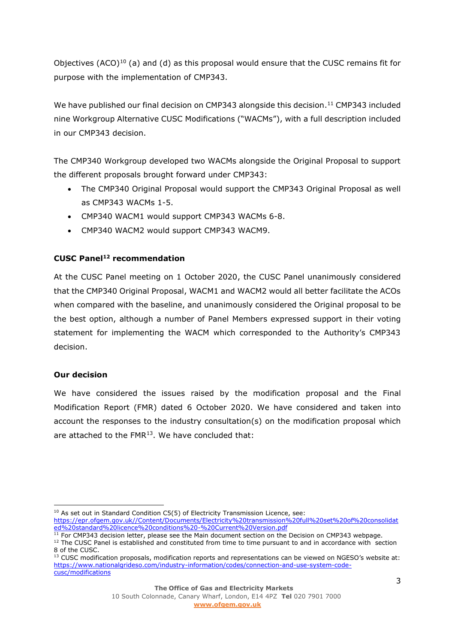Objectives (ACO)<sup>10</sup> (a) and (d) as this proposal would ensure that the CUSC remains fit for purpose with the implementation of CMP343.

We have published our final decision on CMP343 alongside this decision. <sup>11</sup> CMP343 included nine Workgroup Alternative CUSC Modifications ("WACMs"), with a full description included in our CMP343 decision.

The CMP340 Workgroup developed two WACMs alongside the Original Proposal to support the different proposals brought forward under CMP343:

- The CMP340 Original Proposal would support the CMP343 Original Proposal as well as CMP343 WACMs 1-5.
- CMP340 WACM1 would support CMP343 WACMs 6-8.
- CMP340 WACM2 would support CMP343 WACM9.

# **CUSC Panel<sup>12</sup> recommendation**

At the CUSC Panel meeting on 1 October 2020, the CUSC Panel unanimously considered that the CMP340 Original Proposal, WACM1 and WACM2 would all better facilitate the ACOs when compared with the baseline, and unanimously considered the Original proposal to be the best option, although a number of Panel Members expressed support in their voting statement for implementing the WACM which corresponded to the Authority's CMP343 decision.

## **Our decision**

We have considered the issues raised by the modification proposal and the Final Modification Report (FMR) dated 6 October 2020. We have considered and taken into account the responses to the industry consultation(s) on the modification proposal which are attached to the FMR<sup>13</sup>. We have concluded that:

<sup>&</sup>lt;sup>10</sup> As set out in Standard Condition C5(5) of Electricity Transmission Licence, see:

[https://epr.ofgem.gov.uk//Content/Documents/Electricity%20transmission%20full%20set%20of%20consolidat](https://epr.ofgem.gov.uk/Content/Documents/Electricity%20transmission%20full%20set%20of%20consolidated%20standard%20licence%20conditions%20-%20Current%20Version.pdf) [ed%20standard%20licence%20conditions%20-%20Current%20Version.pdf](https://epr.ofgem.gov.uk/Content/Documents/Electricity%20transmission%20full%20set%20of%20consolidated%20standard%20licence%20conditions%20-%20Current%20Version.pdf)

 $11$  For CMP343 decision letter, please see the Main document section on the Decision on CMP343 webpage. <sup>12</sup> The CUSC Panel is established and constituted from time to time pursuant to and in accordance with section 8 of the CUSC.

<sup>&</sup>lt;sup>13</sup> CUSC modification proposals, modification reports and representations can be viewed on NGESO's website at: [https://www.nationalgrideso.com/industry-information/codes/connection-and-use-system-code](https://www.nationalgrideso.com/industry-information/codes/connection-and-use-system-code-cusc/modifications)[cusc/modifications](https://www.nationalgrideso.com/industry-information/codes/connection-and-use-system-code-cusc/modifications)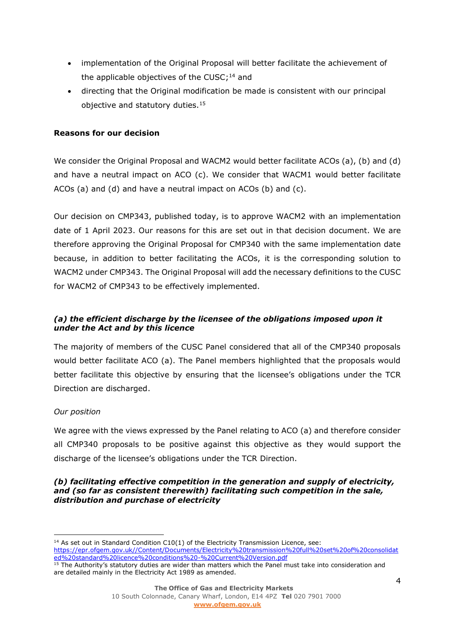- implementation of the Original Proposal will better facilitate the achievement of the applicable objectives of the CUSC;<sup>14</sup> and
- directing that the Original modification be made is consistent with our principal objective and statutory duties.<sup>15</sup>

### **Reasons for our decision**

We consider the Original Proposal and WACM2 would better facilitate ACOs (a), (b) and (d) and have a neutral impact on ACO (c). We consider that WACM1 would better facilitate ACOs (a) and (d) and have a neutral impact on ACOs (b) and (c).

Our decision on CMP343, published today, is to approve WACM2 with an implementation date of 1 April 2023. Our reasons for this are set out in that decision document. We are therefore approving the Original Proposal for CMP340 with the same implementation date because, in addition to better facilitating the ACOs, it is the corresponding solution to WACM2 under CMP343. The Original Proposal will add the necessary definitions to the CUSC for WACM2 of CMP343 to be effectively implemented.

## *(a) the efficient discharge by the licensee of the obligations imposed upon it under the Act and by this licence*

The majority of members of the CUSC Panel considered that all of the CMP340 proposals would better facilitate ACO (a). The Panel members highlighted that the proposals would better facilitate this objective by ensuring that the licensee's obligations under the TCR Direction are discharged.

## *Our position*

We agree with the views expressed by the Panel relating to ACO (a) and therefore consider all CMP340 proposals to be positive against this objective as they would support the discharge of the licensee's obligations under the TCR Direction.

#### *(b) facilitating effective competition in the generation and supply of electricity, and (so far as consistent therewith) facilitating such competition in the sale, distribution and purchase of electricity*

 $14$  As set out in Standard Condition C10(1) of the Electricity Transmission Licence, see: [https://epr.ofgem.gov.uk//Content/Documents/Electricity%20transmission%20full%20set%20of%20consolidat](https://epr.ofgem.gov.uk/Content/Documents/Electricity%20transmission%20full%20set%20of%20consolidated%20standard%20licence%20conditions%20-%20Current%20Version.pdf) [ed%20standard%20licence%20conditions%20-%20Current%20Version.pdf](https://epr.ofgem.gov.uk/Content/Documents/Electricity%20transmission%20full%20set%20of%20consolidated%20standard%20licence%20conditions%20-%20Current%20Version.pdf) <sup>15</sup> The Authority's statutory duties are wider than matters which the Panel must take into consideration and

are detailed mainly in the Electricity Act 1989 as amended.